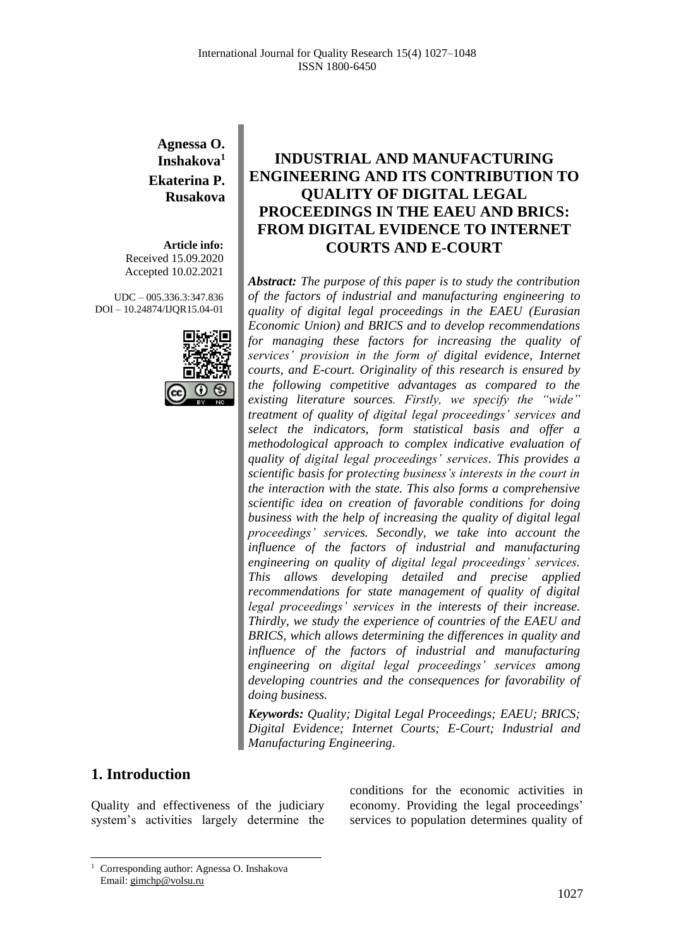### **Agnessa O. Inshakova<sup>1</sup> Ekaterina P. Rusakova**

**Article info:** Received 15.09.2020 Accepted 10.02.2021

UDC – 005.336.3:347.836 DOI – 10.24874/IJQR15.04-01



# **INDUSTRIAL AND MANUFACTURING ENGINEERING AND ITS CONTRIBUTION TO QUALITY OF DIGITAL LEGAL PROCEEDINGS IN THE EAEU AND BRICS: FROM DIGITAL EVIDENCE TO INTERNET COURTS AND E-COURT**

*Abstract: The purpose of this paper is to study the contribution of the factors of industrial and manufacturing engineering to quality of digital legal proceedings in the EAEU (Eurasian Economic Union) and BRICS and to develop recommendations for managing these factors for increasing the quality of services' provision in the form of digital evidence, Internet courts, and E-court. Originality of this research is ensured by the following competitive advantages as compared to the existing literature sources. Firstly, we specify the "wide" treatment of quality of digital legal proceedings' services and select the indicators, form statistical basis and offer a methodological approach to complex indicative evaluation of quality of digital legal proceedings' services. This provides a scientific basis for protecting business's interests in the court in the interaction with the state. This also forms a comprehensive scientific idea on creation of favorable conditions for doing business with the help of increasing the quality of digital legal proceedings' services. Secondly, we take into account the influence of the factors of industrial and manufacturing engineering on quality of digital legal proceedings' services. This allows developing detailed and precise applied recommendations for state management of quality of digital legal proceedings' services in the interests of their increase. Thirdly, we study the experience of countries of the EAEU and BRICS, which allows determining the differences in quality and influence of the factors of industrial and manufacturing engineering on digital legal proceedings' services among developing countries and the consequences for favorability of doing business.*

*Keywords: Quality; Digital Legal Proceedings; EAEU; BRICS; Digital Evidence; Internet Courts; E-Court; Industrial and Manufacturing Engineering.*

### **1. Introduction**

Quality and effectiveness of the judiciary system's activities largely determine the conditions for the economic activities in economy. Providing the legal proceedings' services to population determines quality of

<sup>1</sup> Corresponding author: Agnessa O. Inshakova Email: gimchp@volsu.ru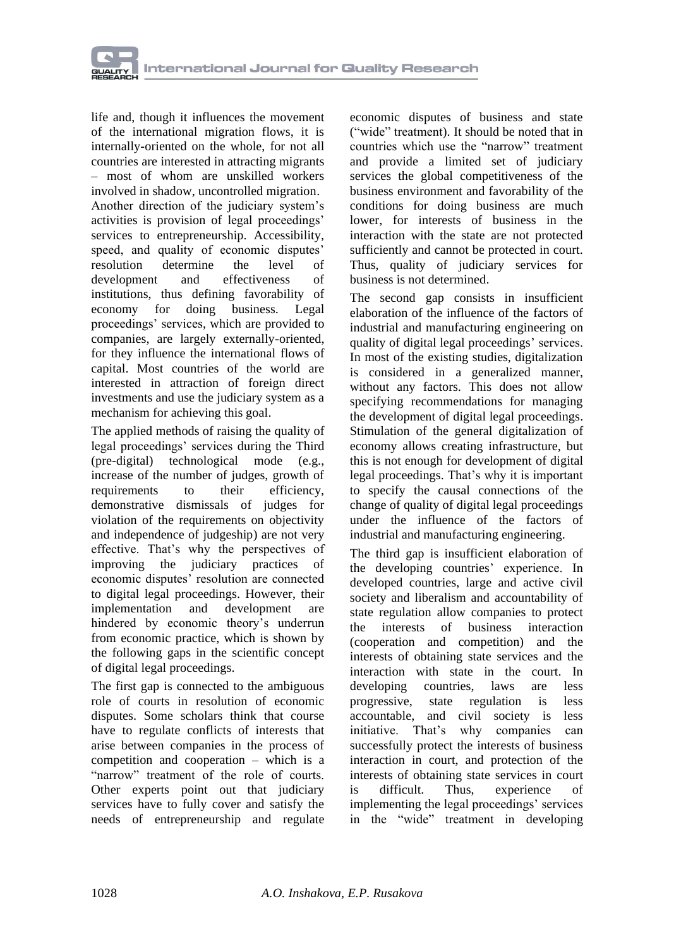life and, though it influences the movement of the international migration flows, it is internally-oriented on the whole, for not all countries are interested in attracting migrants – most of whom are unskilled workers involved in shadow, uncontrolled migration. Another direction of the judiciary system's activities is provision of legal proceedings' services to entrepreneurship. Accessibility, speed, and quality of economic disputes' resolution determine the level of development and effectiveness of institutions, thus defining favorability of economy for doing business. Legal proceedings' services, which are provided to companies, are largely externally-oriented, for they influence the international flows of capital. Most countries of the world are interested in attraction of foreign direct investments and use the judiciary system as a mechanism for achieving this goal.

The applied methods of raising the quality of legal proceedings' services during the Third (pre-digital) technological mode (e.g., increase of the number of judges, growth of<br>requirements to their efficiency. requirements to their efficiency, demonstrative dismissals of judges for violation of the requirements on objectivity and independence of judgeship) are not very effective. That's why the perspectives of improving the judiciary practices of economic disputes' resolution are connected to digital legal proceedings. However, their implementation and development are hindered by economic theory's underrun from economic practice, which is shown by the following gaps in the scientific concept of digital legal proceedings.

The first gap is connected to the ambiguous role of courts in resolution of economic disputes. Some scholars think that course have to regulate conflicts of interests that arise between companies in the process of competition and cooperation – which is a "narrow" treatment of the role of courts. Other experts point out that judiciary services have to fully cover and satisfy the needs of entrepreneurship and regulate economic disputes of business and state ("wide" treatment). It should be noted that in countries which use the "narrow" treatment and provide a limited set of judiciary services the global competitiveness of the business environment and favorability of the conditions for doing business are much lower, for interests of business in the interaction with the state are not protected sufficiently and cannot be protected in court. Thus, quality of judiciary services for business is not determined.

The second gap consists in insufficient elaboration of the influence of the factors of industrial and manufacturing engineering on quality of digital legal proceedings' services. In most of the existing studies, digitalization is considered in a generalized manner, without any factors. This does not allow specifying recommendations for managing the development of digital legal proceedings. Stimulation of the general digitalization of economy allows creating infrastructure, but this is not enough for development of digital legal proceedings. That's why it is important to specify the causal connections of the change of quality of digital legal proceedings under the influence of the factors of industrial and manufacturing engineering.

The third gap is insufficient elaboration of the developing countries' experience. In developed countries, large and active civil society and liberalism and accountability of state regulation allow companies to protect the interests of business interaction (cooperation and competition) and the interests of obtaining state services and the interaction with state in the court. In developing countries, laws are less progressive, state regulation is less accountable, and civil society is less initiative. That's why companies can successfully protect the interests of business interaction in court, and protection of the interests of obtaining state services in court is difficult. Thus, experience of implementing the legal proceedings' services in the "wide" treatment in developing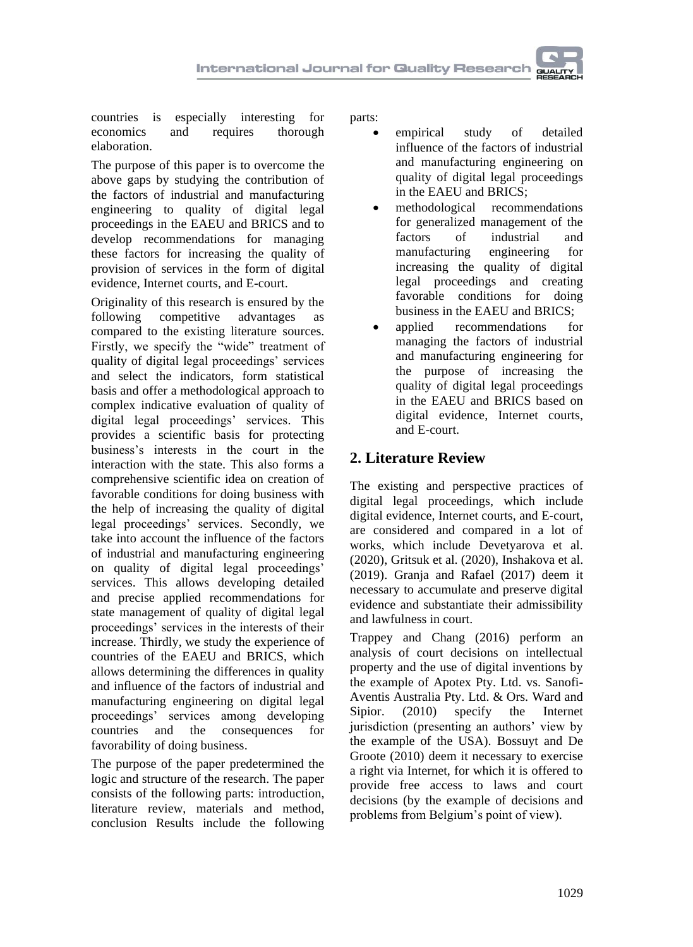countries is especially interesting for economics and requires thorough elaboration.

The purpose of this paper is to overcome the above gaps by studying the contribution of the factors of industrial and manufacturing engineering to quality of digital legal proceedings in the EAEU and BRICS and to develop recommendations for managing these factors for increasing the quality of provision of services in the form of digital evidence, Internet courts, and E-court.

Originality of this research is ensured by the following competitive advantages as compared to the existing literature sources. Firstly, we specify the "wide" treatment of quality of digital legal proceedings' services and select the indicators, form statistical basis and offer a methodological approach to complex indicative evaluation of quality of digital legal proceedings' services. This provides a scientific basis for protecting business's interests in the court in the interaction with the state. This also forms a comprehensive scientific idea on creation of favorable conditions for doing business with the help of increasing the quality of digital legal proceedings' services. Secondly, we take into account the influence of the factors of industrial and manufacturing engineering on quality of digital legal proceedings' services. This allows developing detailed and precise applied recommendations for state management of quality of digital legal proceedings' services in the interests of their increase. Thirdly, we study the experience of countries of the EAEU and BRICS, which allows determining the differences in quality and influence of the factors of industrial and manufacturing engineering on digital legal proceedings' services among developing countries and the consequences for favorability of doing business.

The purpose of the paper predetermined the logic and structure of the research. The paper consists of the following parts: introduction, literature review, materials and method, conclusion Results include the following parts:

- empirical study of detailed influence of the factors of industrial and manufacturing engineering on quality of digital legal proceedings in the EAEU and BRICS;
- methodological recommendations for generalized management of the factors of industrial and manufacturing engineering for increasing the quality of digital legal proceedings and creating favorable conditions for doing business in the EAEU and BRICS;
- applied recommendations for managing the factors of industrial and manufacturing engineering for the purpose of increasing the quality of digital legal proceedings in the EAEU and BRICS based on digital evidence, Internet courts, and E-court.

# **2. Literature Review**

The existing and perspective practices of digital legal proceedings, which include digital evidence, Internet courts, and E-court, are considered and compared in a lot of works, which include Devetyarova et al. (2020), Gritsuk et al. (2020), [Inshakova](https://proxylibrary.hse.ru:2073/authid/detail.uri?origin=AuthorProfile&authorId=56185976100&zone=) et al. (2019). [Granja](https://www.inderscienceonline.com/author/Granja%2C+Fernando+Molina) and [Rafael](https://www.inderscienceonline.com/author/Rafael%2C+Glen+D+Rodr%C3%ADguez) (2017) deem it necessary to accumulate and preserve digital evidence and substantiate their admissibility and lawfulness in court.

[Trappey](https://www.inderscienceonline.com/author/Trappey%2C+Charles+V) [and Chang](https://www.inderscienceonline.com/author/Chang%2C+Ai-Che) (2016) perform an analysis of court decisions on intellectual property and the use of digital inventions by the example of Apotex Pty. Ltd. vs. Sanofi-Aventis Australia Pty. Ltd. & Ors. [Ward](https://www.inderscienceonline.com/author/Ward%2C+Burke+T) [and](https://www.inderscienceonline.com/author/Sipior%2C+Janice+C)  [Sipior.](https://www.inderscienceonline.com/author/Sipior%2C+Janice+C) (2010) specify the Internet jurisdiction (presenting an authors' view by the example of the USA). Bossuyt [and De](https://www.inderscienceonline.com/author/de+Groote%2C+Bertel)  [Groote](https://www.inderscienceonline.com/author/de+Groote%2C+Bertel) (2010) deem it necessary to exercise a right via Internet, for which it is offered to provide free access to laws and court decisions (by the example of decisions and problems from Belgium's point of view).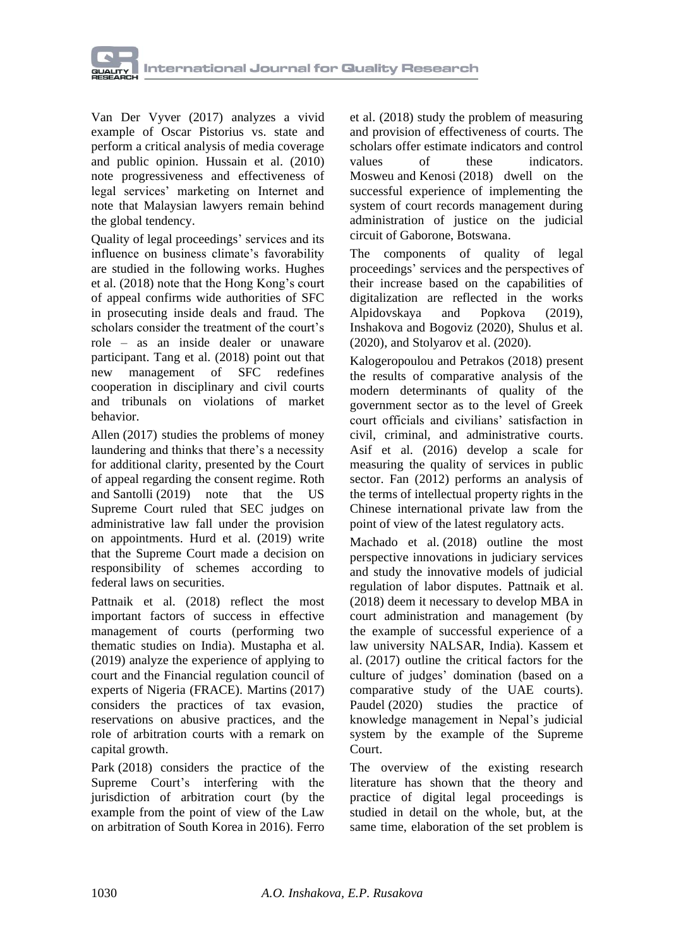

Van Der Vyver (2017) analyzes a vivid example of Oscar Pistorius vs. state and perform a critical analysis of media coverage and public opinion. [Hussain](https://www.inderscienceonline.com/author/Hussain%2C+Wan+Mohd+Hirwani+Wan) et al. (2010) note progressiveness and effectiveness of legal services' marketing on Internet and note that Malaysian lawyers remain behind the global tendency.

Quality of legal proceedings' services and its influence on business climate's favorability are studied in the following works. [Hughes](https://www.emerald.com/insight/search?q=Gareth%20Hughes) et al. (2018) note that the Hong Kong's court of appeal confirms wide authorities of SFC in prosecuting inside deals and fraud. The scholars consider the treatment of the court's role – as an inside dealer or unaware participant. [Tang](https://www.emerald.com/insight/search?q=Cynthia%20Tang) et al. (2018) point out that new management of SFC redefines cooperation in disciplinary and civil courts and tribunals on violations of market behavior.

[Allen](https://www.emerald.com/insight/search?q=Daren%20Allen) (2017) studies the problems of money laundering and thinks that there's a necessity for additional clarity, presented by the Court of appeal regarding the consent regime. [Roth](https://www.emerald.com/insight/search?q=Joshua%20D.%20Roth) and [Santolli](https://www.emerald.com/insight/search?q=Justin%20J.%20Santolli) (2019) note that the US Supreme Court ruled that SEC judges on administrative law fall under the provision on appointments. [Hurd](https://www.emerald.com/insight/search?q=Susan%20Hurd) et al. (2019) write that the Supreme Court made a decision on responsibility of schemes according to federal laws on securities.

[Pattnaik](https://www.emerald.com/insight/search?q=Pinaki%20Nandan%20Pattnaik) et al. (2018) reflect the most important factors of success in effective management of courts (performing two thematic studies on India). [Mustapha](https://www.emerald.com/insight/search?q=Zakariya%20Mustapha) et al. (2019) analyze the experience of applying to court and the Financial regulation council of experts of Nigeria (FRACE). [Martins](https://www.emerald.com/insight/search?q=Ant%C3%B3nio%20Martins) (2017) considers the practices of tax evasion, reservations on abusive practices, and the role of arbitration courts with a remark on capital growth.

[Park](https://www.emerald.com/insight/search?q=Eunok%20Park) (2018) considers the practice of the Supreme Court's interfering with the jurisdiction of arbitration court (by the example from the point of view of the Law on arbitration of South Korea in 2016)[. Ferro](https://www.emerald.com/insight/search?q=Gustavo%20Ferro) et al. (2018) study the problem of measuring and provision of effectiveness of courts. The scholars offer estimate indicators and control values of these indicators. [Mosweu](https://www.emerald.com/insight/search?q=Tshepho%20Lydia%20Mosweu) and [Kenosi](https://www.emerald.com/insight/search?q=Lekoko%20Kenosi) (2018) dwell on the successful experience of implementing the system of court records management during administration of justice on the judicial circuit of Gaborone, Botswana.

The components of quality of legal proceedings' services and the perspectives of their increase based on the capabilities of digitalization are reflected in the works Alpidovskaya and Popkova (2019), Inshakova and Bogoviz (2020), Shulus et al. (2020), and Stolyarov et al. (2020).

[Kalogeropoulou](https://www.inderscienceonline.com/author/Kalogeropoulou%2C+Charitomeni) [and Petrakos](https://www.inderscienceonline.com/author/Petrakos%2C+George) (2018) present the results of comparative analysis of the modern determinants of quality of the government sector as to the level of Greek court officials and civilians' satisfaction in civil, criminal, and administrative courts. [Asif](https://www.inderscienceonline.com/author/Asif%2C+Muhammad) et al. (2016) develop a scale for measuring the quality of services in public sector. [Fan](https://www.inderscienceonline.com/author/Fan%2C+Xiaoliang) (2012) performs an analysis of the terms of intellectual property rights in the Chinese international private law from the point of view of the latest regulatory acts.

[Machado](https://www.emerald.com/insight/search?q=Michele%20Machado) et al. (2018) outline the most perspective innovations in judiciary services and study the innovative models of judicial regulation of labor disputes. [Pattnaik](https://www.emerald.com/insight/search?q=Pinaki%20Nandan%20Pattnaik) et al. (2018) deem it necessary to develop MBA in court administration and management (by the example of successful experience of a law university NALSAR, India). [Kassem](https://www.emerald.com/insight/search?q=Rassel%20Kassem) et al. (2017) outline the critical factors for the culture of judges' domination (based on a comparative study of the UAE courts). [Paudel](https://www.emerald.com/insight/search?q=Krishna%20Prasad%20Paudel) (2020) studies the practice of knowledge management in Nepal's judicial system by the example of the Supreme Court.

The overview of the existing research literature has shown that the theory and practice of digital legal proceedings is studied in detail on the whole, but, at the same time, elaboration of the set problem is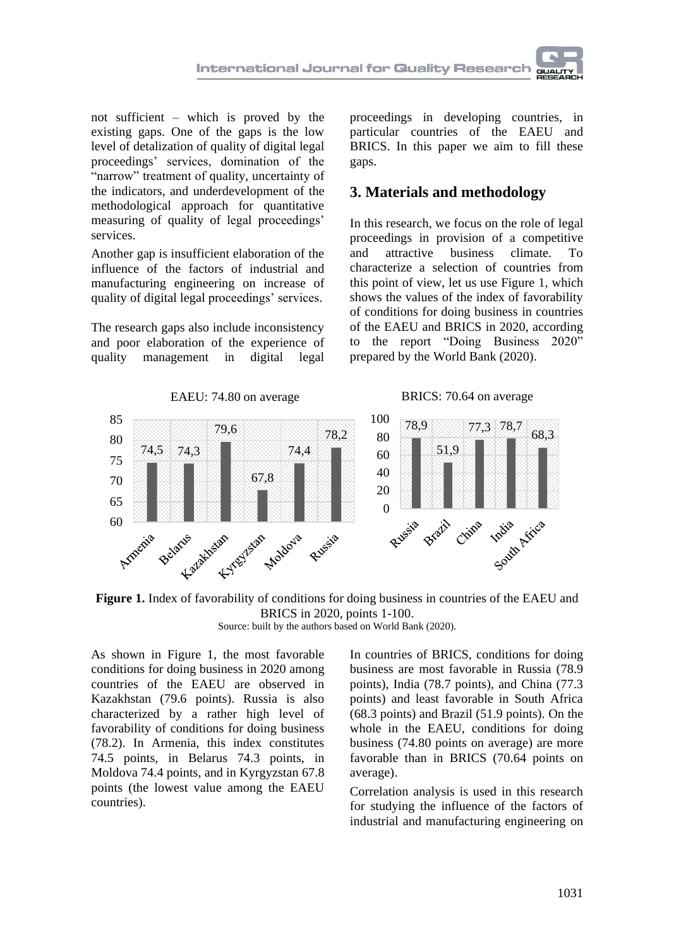not sufficient – which is proved by the existing gaps. One of the gaps is the low level of detalization of quality of digital legal proceedings' services, domination of the "narrow" treatment of quality, uncertainty of the indicators, and underdevelopment of the methodological approach for quantitative measuring of quality of legal proceedings' services.

Another gap is insufficient elaboration of the influence of the factors of industrial and manufacturing engineering on increase of quality of digital legal proceedings' services.

The research gaps also include inconsistency and poor elaboration of the experience of quality management in digital legal

proceedings in developing countries, in particular countries of the EAEU and BRICS. In this paper we aim to fill these gaps.

### **3. Materials and methodology**

In this research, we focus on the role of legal proceedings in provision of a competitive and attractive business climate. To characterize a selection of countries from this point of view, let us use Figure 1, which shows the values of the index of favorability of conditions for doing business in countries of the EAEU and BRICS in 2020, according to the report "Doing Business 2020" prepared by the World Bank (2020).



**Figure 1.** Index of favorability of conditions for doing business in countries of the EAEU and BRICS in 2020, points 1-100. Source: built by the authors based on World Bank (2020).

As shown in Figure 1, the most favorable conditions for doing business in 2020 among countries of the EAEU are observed in Kazakhstan (79.6 points). Russia is also characterized by a rather high level of favorability of conditions for doing business (78.2). In Armenia, this index constitutes 74.5 points, in Belarus 74.3 points, in Moldova 74.4 points, and in Kyrgyzstan 67.8 points (the lowest value among the EAEU countries).

In countries of BRICS, conditions for doing business are most favorable in Russia (78.9 points), India (78.7 points), and China (77.3 points) and least favorable in South Africa (68.3 points) and Brazil (51.9 points). On the whole in the EAEU, conditions for doing business (74.80 points on average) are more favorable than in BRICS (70.64 points on average).

Correlation analysis is used in this research for studying the influence of the factors of industrial and manufacturing engineering on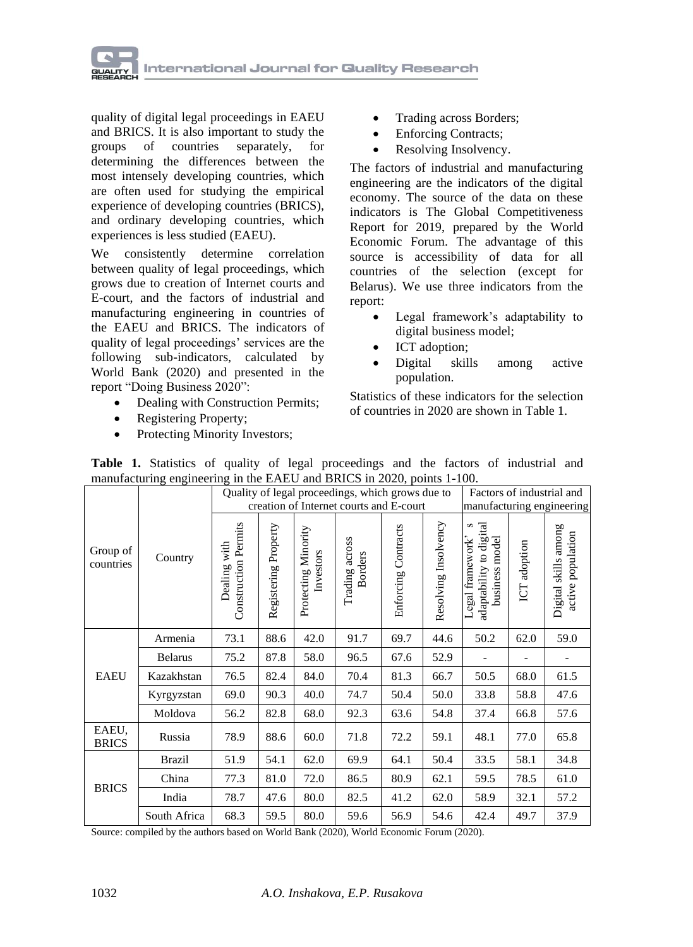

quality of digital legal proceedings in EAEU and BRICS. It is also important to study the groups of countries separately, for determining the differences between the most intensely developing countries, which are often used for studying the empirical experience of developing countries (BRICS), and ordinary developing countries, which experiences is less studied (EAEU).

We consistently determine correlation between quality of legal proceedings, which grows due to creation of Internet courts and E-court, and the factors of industrial and manufacturing engineering in countries of the EAEU and BRICS. The indicators of quality of legal proceedings' services are the following sub-indicators, calculated by World Bank (2020) and presented in the report "Doing Business 2020":

- Dealing with Construction Permits;
- Registering Property;
- Protecting Minority Investors;
- Trading across Borders;
- Enforcing Contracts;
- Resolving Insolvency.

The factors of industrial and manufacturing engineering are the indicators of the digital economy. The source of the data on these indicators is The Global Competitiveness Report for 2019, prepared by the World Economic Forum. The advantage of this source is accessibility of data for all countries of the selection (except for Belarus). We use three indicators from the report:

- Legal framework's adaptability to digital business model;
- ICT adoption;
- Digital skills among active population.

Statistics of these indicators for the selection of countries in 2020 are shown in Table 1.

|                       | $m$ manufacturing engineering in the EAEO and DKTCS in 2020, points $1-100$ . |                                                  |                      |                                  |                                  |                     |                      |                                                                    |                 |                                           |
|-----------------------|-------------------------------------------------------------------------------|--------------------------------------------------|----------------------|----------------------------------|----------------------------------|---------------------|----------------------|--------------------------------------------------------------------|-----------------|-------------------------------------------|
| Group of<br>countries | Country                                                                       | Quality of legal proceedings, which grows due to |                      |                                  |                                  |                     |                      | Factors of industrial and                                          |                 |                                           |
|                       |                                                                               | creation of Internet courts and E-court          |                      |                                  |                                  |                     |                      | manufacturing engineering                                          |                 |                                           |
|                       |                                                                               | <b>Construction Permits</b><br>with<br>Dealing   | Registering Property | Protecting Minority<br>Investors | Trading across<br><b>Borders</b> | Enforcing Contracts | Resolving Insolvency | adaptability to digital<br>business model<br>S<br>Legal framework' | adoption<br>ICT | Digital skills among<br>active population |
| <b>EAEU</b>           | Armenia                                                                       | 73.1                                             | 88.6                 | 42.0                             | 91.7                             | 69.7                | 44.6                 | 50.2                                                               | 62.0            | 59.0                                      |
|                       | <b>Belarus</b>                                                                | 75.2                                             | 87.8                 | 58.0                             | 96.5                             | 67.6                | 52.9                 |                                                                    |                 |                                           |
|                       | Kazakhstan                                                                    | 76.5                                             | 82.4                 | 84.0                             | 70.4                             | 81.3                | 66.7                 | 50.5                                                               | 68.0            | 61.5                                      |
|                       | Kyrgyzstan                                                                    | 69.0                                             | 90.3                 | 40.0                             | 74.7                             | 50.4                | 50.0                 | 33.8                                                               | 58.8            | 47.6                                      |
|                       | Moldova                                                                       | 56.2                                             | 82.8                 | 68.0                             | 92.3                             | 63.6                | 54.8                 | 37.4                                                               | 66.8            | 57.6                                      |
| EAEU.<br><b>BRICS</b> | Russia                                                                        | 78.9                                             | 88.6                 | 60.0                             | 71.8                             | 72.2                | 59.1                 | 48.1                                                               | 77.0            | 65.8                                      |
| <b>BRICS</b>          | <b>Brazil</b>                                                                 | 51.9                                             | 54.1                 | 62.0                             | 69.9                             | 64.1                | 50.4                 | 33.5                                                               | 58.1            | 34.8                                      |
|                       | China                                                                         | 77.3                                             | 81.0                 | 72.0                             | 86.5                             | 80.9                | 62.1                 | 59.5                                                               | 78.5            | 61.0                                      |
|                       | India                                                                         | 78.7                                             | 47.6                 | 80.0                             | 82.5                             | 41.2                | 62.0                 | 58.9                                                               | 32.1            | 57.2                                      |
|                       | South Africa                                                                  | 68.3                                             | 59.5                 | 80.0                             | 59.6                             | 56.9                | 54.6                 | 42.4                                                               | 49.7            | 37.9                                      |

**Table 1.** Statistics of quality of legal proceedings and the factors of industrial and manufacturing engineering in the EAEU and BRICS in 2020, points 1-100

Source: compiled by the authors based on World Bank (2020), World Economic Forum (2020).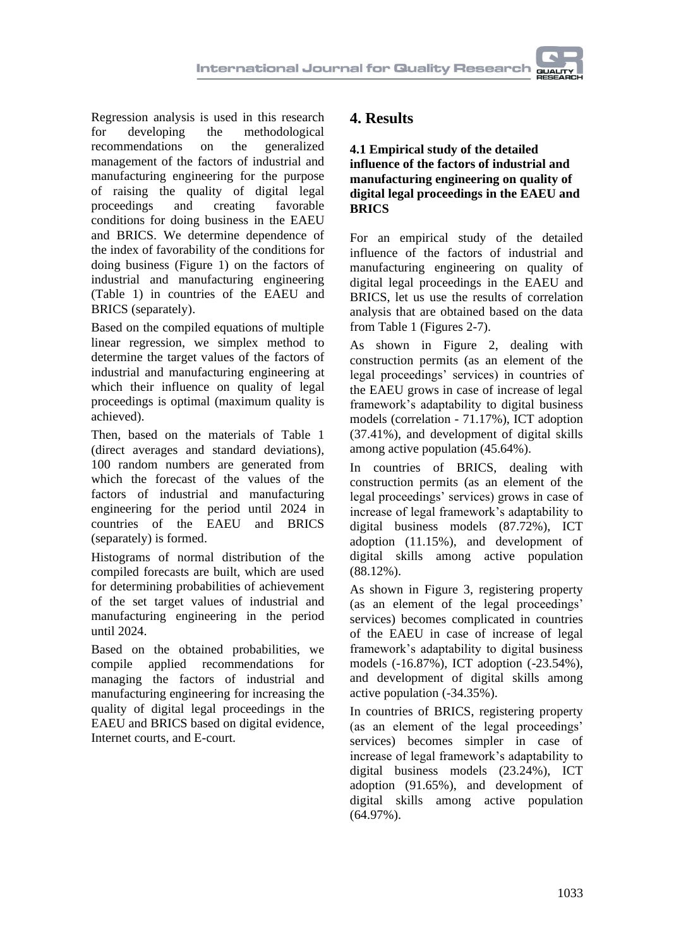Regression analysis is used in this research for developing the methodological recommendations on the generalized management of the factors of industrial and manufacturing engineering for the purpose of raising the quality of digital legal proceedings and creating favorable conditions for doing business in the EAEU and BRICS. We determine dependence of the index of favorability of the conditions for doing business (Figure 1) on the factors of industrial and manufacturing engineering (Table 1) in countries of the EAEU and BRICS (separately).

Based on the compiled equations of multiple linear regression, we simplex method to determine the target values of the factors of industrial and manufacturing engineering at which their influence on quality of legal proceedings is optimal (maximum quality is achieved).

Then, based on the materials of Table 1 (direct averages and standard deviations), 100 random numbers are generated from which the forecast of the values of the factors of industrial and manufacturing engineering for the period until 2024 in countries of the EAEU and BRICS (separately) is formed.

Histograms of normal distribution of the compiled forecasts are built, which are used for determining probabilities of achievement of the set target values of industrial and manufacturing engineering in the period until 2024.

Based on the obtained probabilities, we compile applied recommendations for managing the factors of industrial and manufacturing engineering for increasing the quality of digital legal proceedings in the EAEU and BRICS based on digital evidence, Internet courts, and E-court.

## **4. Results**

**4.1 Empirical study of the detailed influence of the factors of industrial and manufacturing engineering on quality of digital legal proceedings in the EAEU and BRICS**

For an empirical study of the detailed influence of the factors of industrial and manufacturing engineering on quality of digital legal proceedings in the EAEU and BRICS, let us use the results of correlation analysis that are obtained based on the data from Table 1 (Figures 2-7).

As shown in Figure 2, dealing with construction permits (as an element of the legal proceedings' services) in countries of the EAEU grows in case of increase of legal framework's adaptability to digital business models (correlation - 71.17%), ICT adoption (37.41%), and development of digital skills among active population (45.64%).

In countries of BRICS, dealing with construction permits (as an element of the legal proceedings' services) grows in case of increase of legal framework's adaptability to digital business models (87.72%), ICT adoption (11.15%), and development of digital skills among active population (88.12%).

As shown in Figure 3, registering property (as an element of the legal proceedings' services) becomes complicated in countries of the EAEU in case of increase of legal framework's adaptability to digital business models (-16.87%), ICT adoption (-23.54%), and development of digital skills among active population (-34.35%).

In countries of BRICS, registering property (as an element of the legal proceedings' services) becomes simpler in case of increase of legal framework's adaptability to digital business models (23.24%), ICT adoption (91.65%), and development of digital skills among active population (64.97%).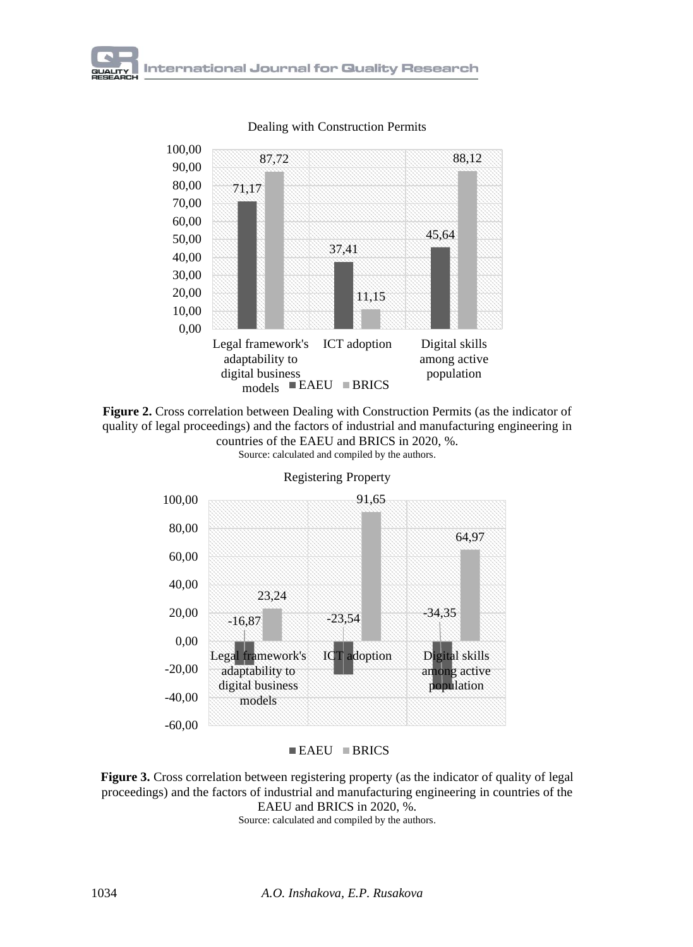

Dealing with Construction Permits





Registering Property

 $\blacksquare$  EAEU  $\blacksquare$  BRICS

**Figure 3.** Cross correlation between registering property (as the indicator of quality of legal proceedings) and the factors of industrial and manufacturing engineering in countries of the EAEU and BRICS in 2020, %.

Source: calculated and compiled by the authors.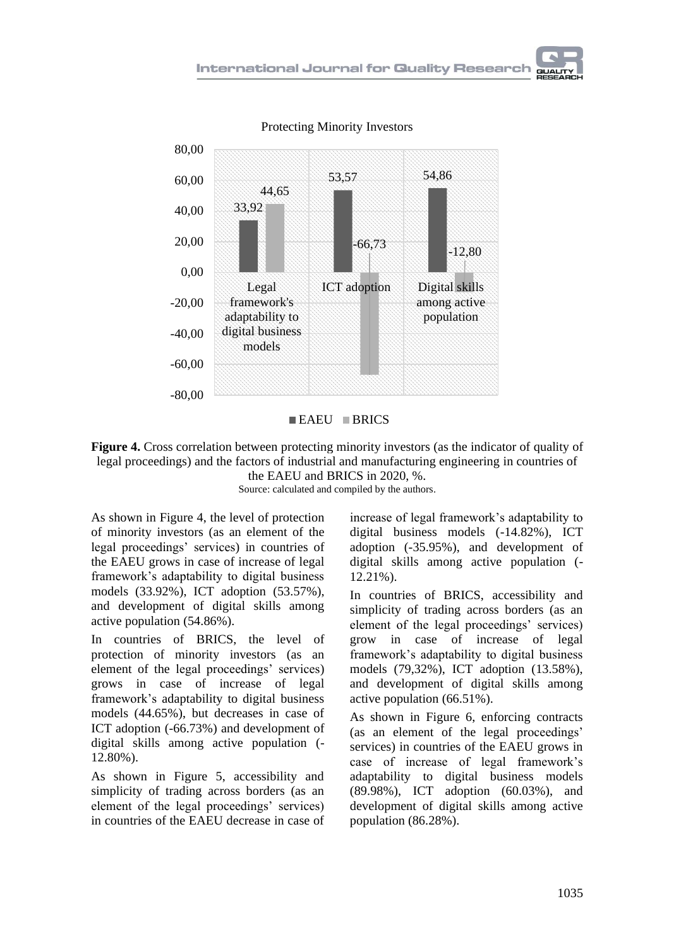

Protecting Minority Investors

#### $EAEU$  BRICS

**Figure 4.** Cross correlation between protecting minority investors (as the indicator of quality of legal proceedings) and the factors of industrial and manufacturing engineering in countries of the EAEU and BRICS in 2020, %. Source: calculated and compiled by the authors.

As shown in Figure 4, the level of protection of minority investors (as an element of the legal proceedings' services) in countries of the EAEU grows in case of increase of legal framework's adaptability to digital business models (33.92%), ICT adoption (53.57%), and development of digital skills among active population (54.86%).

In countries of BRICS, the level of protection of minority investors (as an element of the legal proceedings' services) grows in case of increase of legal framework's adaptability to digital business models (44.65%), but decreases in case of ICT adoption (-66.73%) and development of digital skills among active population (- 12.80%).

As shown in Figure 5, accessibility and simplicity of trading across borders (as an element of the legal proceedings' services) in countries of the EAEU decrease in case of

increase of legal framework's adaptability to digital business models (-14.82%), ICT adoption (-35.95%), and development of digital skills among active population (- 12.21%).

In countries of BRICS, accessibility and simplicity of trading across borders (as an element of the legal proceedings' services) grow in case of increase of legal framework's adaptability to digital business models (79,32%), ICT adoption (13.58%), and development of digital skills among active population (66.51%).

As shown in Figure 6, enforcing contracts (as an element of the legal proceedings' services) in countries of the EAEU grows in case of increase of legal framework's adaptability to digital business models (89.98%), ICT adoption (60.03%), and development of digital skills among active population (86.28%).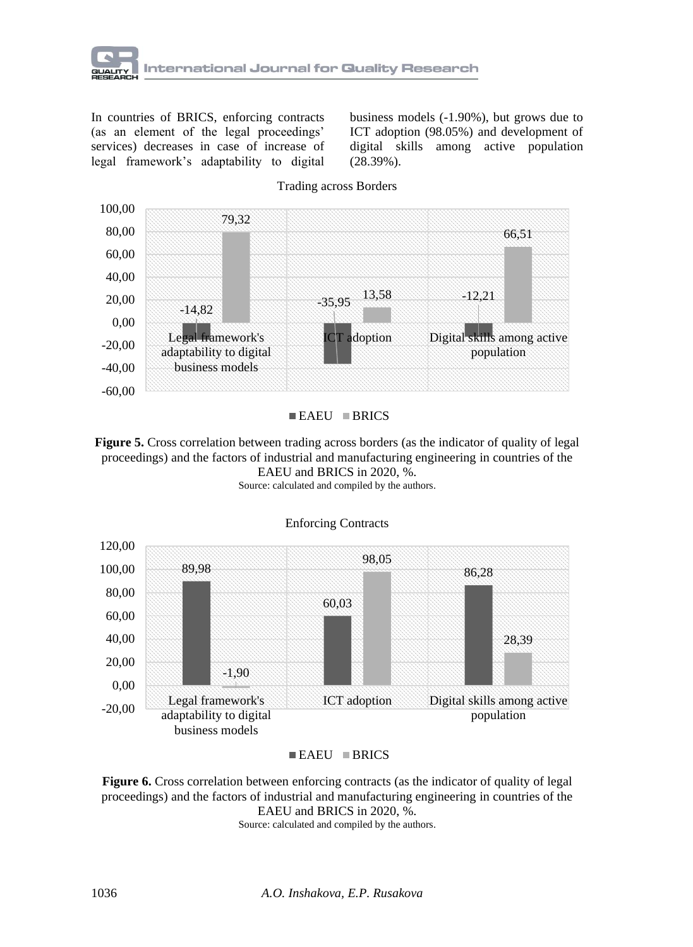

In countries of BRICS, enforcing contracts (as an element of the legal proceedings' services) decreases in case of increase of legal framework's adaptability to digital

business models (-1.90%), but grows due to ICT adoption (98.05%) and development of digital skills among active population (28.39%).



Trading across Borders

#### $EAEU$  BRICS

**Figure 5.** Cross correlation between trading across borders (as the indicator of quality of legal proceedings) and the factors of industrial and manufacturing engineering in countries of the EAEU and BRICS in 2020, %. Source: calculated and compiled by the authors.



Enforcing Contracts

**Figure 6.** Cross correlation between enforcing contracts (as the indicator of quality of legal proceedings) and the factors of industrial and manufacturing engineering in countries of the EAEU and BRICS in 2020, %.

Source: calculated and compiled by the authors.

 $\blacksquare$  EAEU  $\blacksquare$  BRICS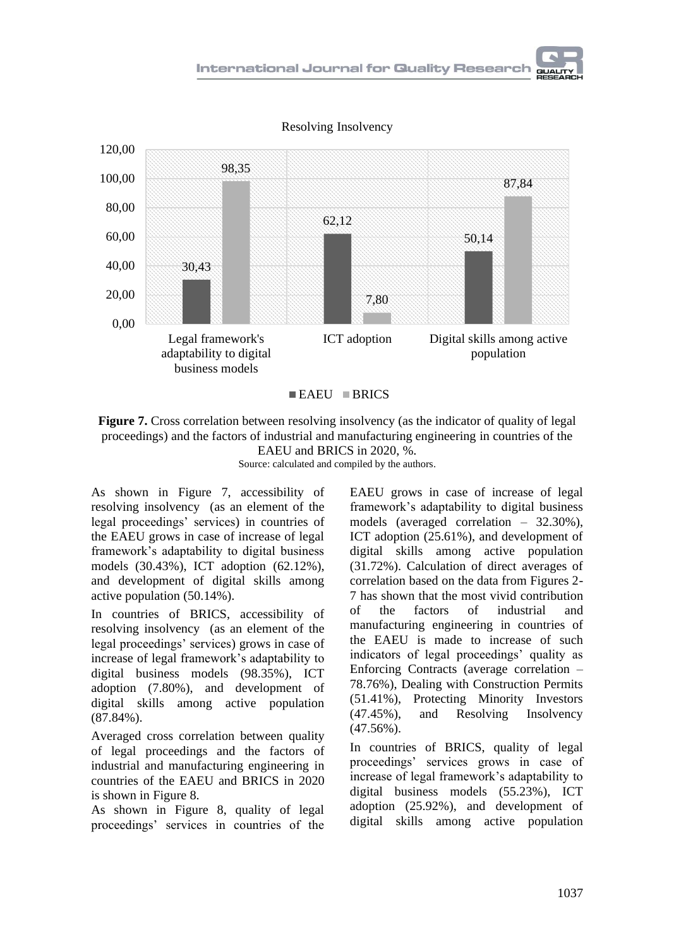



 $EAEU$  BRICS

**Figure 7.** Cross correlation between resolving insolvency (as the indicator of quality of legal proceedings) and the factors of industrial and manufacturing engineering in countries of the EAEU and BRICS in 2020, %.

Source: calculated and compiled by the authors.

As shown in Figure 7, accessibility of resolving insolvency (as an element of the legal proceedings' services) in countries of the EAEU grows in case of increase of legal framework's adaptability to digital business models (30.43%), ICT adoption (62.12%), and development of digital skills among active population (50.14%).

In countries of BRICS, accessibility of resolving insolvency (as an element of the legal proceedings' services) grows in case of increase of legal framework's adaptability to digital business models (98.35%), ICT adoption (7.80%), and development of digital skills among active population (87.84%).

Averaged cross correlation between quality of legal proceedings and the factors of industrial and manufacturing engineering in countries of the EAEU and BRICS in 2020 is shown in Figure 8.

As shown in Figure 8, quality of legal proceedings' services in countries of the

EAEU grows in case of increase of legal framework's adaptability to digital business models (averaged correlation – 32.30%), ICT adoption (25.61%), and development of digital skills among active population (31.72%). Calculation of direct averages of correlation based on the data from Figures 2- 7 has shown that the most vivid contribution of the factors of industrial and manufacturing engineering in countries of the EAEU is made to increase of such indicators of legal proceedings' quality as Enforcing Contracts (average correlation – 78.76%), Dealing with Construction Permits (51.41%), Protecting Minority Investors (47.45%), and Resolving Insolvency (47.56%).

In countries of BRICS, quality of legal proceedings' services grows in case of increase of legal framework's adaptability to digital business models (55.23%), ICT adoption (25.92%), and development of digital skills among active population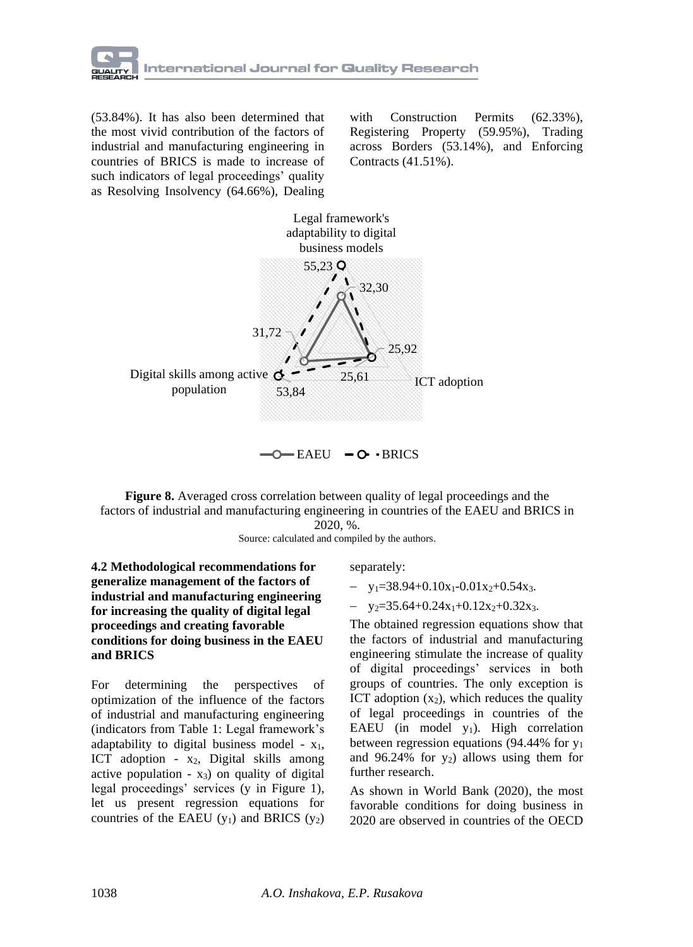

(53.84%). It has also been determined that the most vivid contribution of the factors of industrial and manufacturing engineering in countries of BRICS is made to increase of such indicators of legal proceedings' quality as Resolving Insolvency (64.66%), Dealing

with Construction Permits (62.33%). Registering Property (59.95%), Trading across Borders (53.14%), and Enforcing Contracts (41.51%).



**Figure 8.** Averaged cross correlation between quality of legal proceedings and the factors of industrial and manufacturing engineering in countries of the EAEU and BRICS in

2020, %.

Source: calculated and compiled by the authors.

**4.2 Methodological recommendations for generalize management of the factors of industrial and manufacturing engineering for increasing the quality of digital legal proceedings and creating favorable conditions for doing business in the EAEU and BRICS**

For determining the perspectives of optimization of the influence of the factors of industrial and manufacturing engineering (indicators from Table 1: Legal framework's adaptability to digital business model -  $x_1$ , ICT adoption -  $x_2$ , Digital skills among active population -  $x_3$ ) on quality of digital legal proceedings' services (y in Figure 1), let us present regression equations for countries of the EAEU  $(y_1)$  and BRICS  $(y_2)$  separately:

- $-$  y<sub>1</sub>=38.94+0.10x<sub>1</sub>-0.01x<sub>2</sub>+0.54x<sub>3</sub>.
- $-$  y<sub>2</sub>=35.64+0.24x<sub>1</sub>+0.12x<sub>2</sub>+0.32x<sub>3</sub>.

The obtained regression equations show that the factors of industrial and manufacturing engineering stimulate the increase of quality of digital proceedings' services in both groups of countries. The only exception is ICT adoption  $(x_2)$ , which reduces the quality of legal proceedings in countries of the EAEU (in model  $y_1$ ). High correlation between regression equations (94.44% for y<sup>1</sup> and 96.24% for  $y_2$ ) allows using them for further research.

As shown in World Bank (2020), the most favorable conditions for doing business in 2020 are observed in countries of the OECD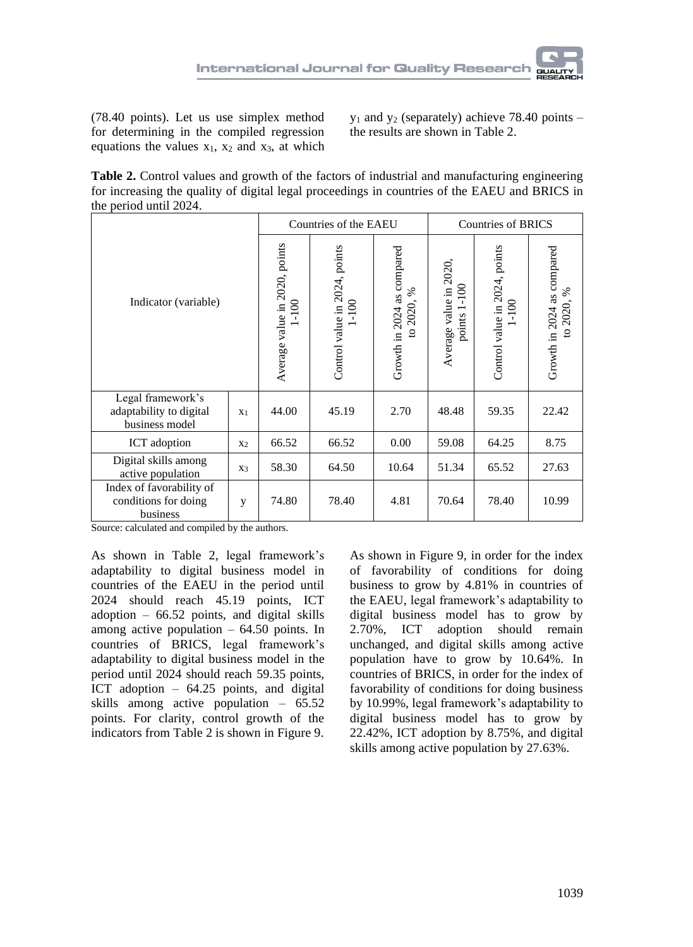(78.40 points). Let us use simplex method for determining in the compiled regression equations the values  $x_1$ ,  $x_2$  and  $x_3$ , at which  $y_1$  and  $y_2$  (separately) achieve 78.40 points – the results are shown in Table 2.

**Table 2.** Control values and growth of the factors of industrial and manufacturing engineering for increasing the quality of digital legal proceedings in countries of the EAEU and BRICS in the period until 2024.

| Indicator (variable)                                           |                |                                                                 | Countries of the EAEU                      |                                                          | <b>Countries of BRICS</b>              |                                         |                                          |  |
|----------------------------------------------------------------|----------------|-----------------------------------------------------------------|--------------------------------------------|----------------------------------------------------------|----------------------------------------|-----------------------------------------|------------------------------------------|--|
|                                                                |                | Average value in 2020, points<br>$\overline{5}$<br>$\mathbf{I}$ | Control value in 2024, points<br>$1 - 100$ | Growth in 2024 as compared<br>℅<br>2020,<br>$\mathbf{S}$ | Average value in 2020,<br>points 1-100 | Control value in 2024, points<br>$-100$ | Growth in 2024 as compared<br>to 2020, % |  |
| Legal framework's<br>adaptability to digital<br>business model | X <sub>1</sub> | 44.00                                                           | 45.19                                      | 2.70                                                     | 48.48                                  | 59.35                                   | 22.42                                    |  |
| ICT adoption                                                   | X <sub>2</sub> | 66.52                                                           | 66.52                                      | 0.00                                                     | 59.08                                  | 64.25                                   | 8.75                                     |  |
| Digital skills among<br>active population                      | X3             | 58.30                                                           | 64.50                                      | 10.64                                                    | 51.34                                  | 65.52                                   | 27.63                                    |  |
| Index of favorability of<br>conditions for doing<br>business   | y              | 74.80                                                           | 78.40                                      | 4.81                                                     | 70.64                                  | 78.40                                   | 10.99                                    |  |

Source: calculated and compiled by the authors.

As shown in Table 2, legal framework's adaptability to digital business model in countries of the EAEU in the period until 2024 should reach 45.19 points, ICT adoption – 66.52 points, and digital skills among active population  $-64.50$  points. In countries of BRICS, legal framework's adaptability to digital business model in the period until 2024 should reach 59.35 points, ICT adoption – 64.25 points, and digital skills among active population – 65.52 points. For clarity, control growth of the indicators from Table 2 is shown in Figure 9.

As shown in Figure 9, in order for the index of favorability of conditions for doing business to grow by 4.81% in countries of the EAEU, legal framework's adaptability to digital business model has to grow by 2.70%, ICT adoption should remain unchanged, and digital skills among active population have to grow by 10.64%. In countries of BRICS, in order for the index of favorability of conditions for doing business by 10.99%, legal framework's adaptability to digital business model has to grow by 22.42%, ICT adoption by 8.75%, and digital skills among active population by 27.63%.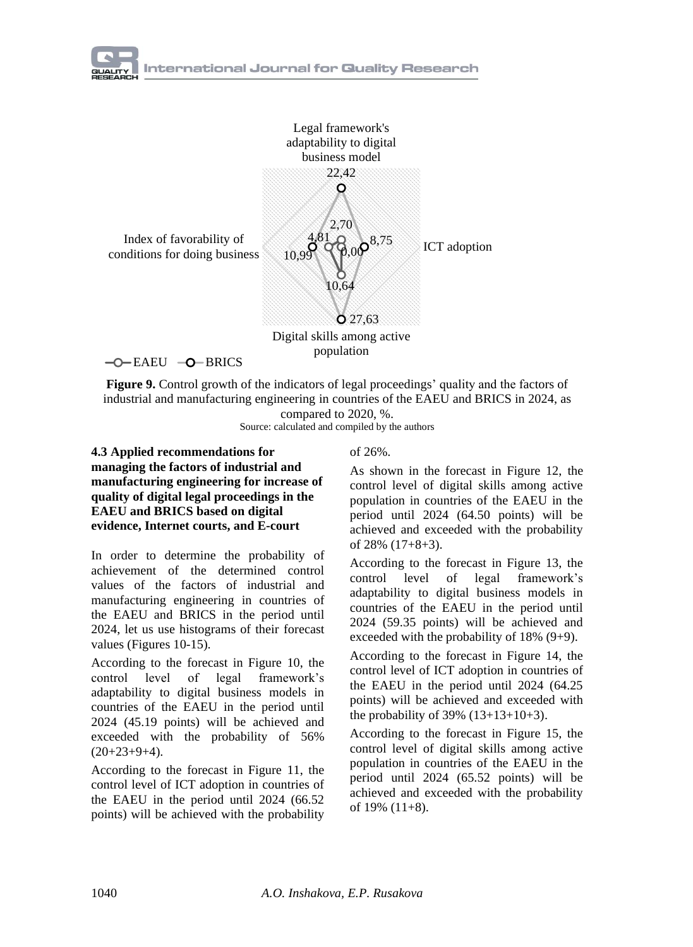

 $-O$ –EAEU  $-O$ –BRICS

**Figure 9.** Control growth of the indicators of legal proceedings' quality and the factors of industrial and manufacturing engineering in countries of the EAEU and BRICS in 2024, as compared to 2020, %.

Source: calculated and compiled by the authors

#### **4.3 Applied recommendations for managing the factors of industrial and manufacturing engineering for increase of quality of digital legal proceedings in the EAEU and BRICS based on digital evidence, Internet courts, and E-court**

In order to determine the probability of achievement of the determined control values of the factors of industrial and manufacturing engineering in countries of the EAEU and BRICS in the period until 2024, let us use histograms of their forecast values (Figures 10-15).

According to the forecast in Figure 10, the control level of legal framework's adaptability to digital business models in countries of the EAEU in the period until 2024 (45.19 points) will be achieved and exceeded with the probability of 56%  $(20+23+9+4)$ .

According to the forecast in Figure 11, the control level of ICT adoption in countries of the EAEU in the period until 2024 (66.52 points) will be achieved with the probability

### of 26%.

As shown in the forecast in Figure 12, the control level of digital skills among active population in countries of the EAEU in the period until 2024 (64.50 points) will be achieved and exceeded with the probability of 28% (17+8+3).

According to the forecast in Figure 13, the control level of legal framework's adaptability to digital business models in countries of the EAEU in the period until 2024 (59.35 points) will be achieved and exceeded with the probability of 18% (9+9).

According to the forecast in Figure 14, the control level of ICT adoption in countries of the EAEU in the period until 2024 (64.25 points) will be achieved and exceeded with the probability of  $39\%$   $(13+13+10+3)$ .

According to the forecast in Figure 15, the control level of digital skills among active population in countries of the EAEU in the period until 2024 (65.52 points) will be achieved and exceeded with the probability of 19% (11+8).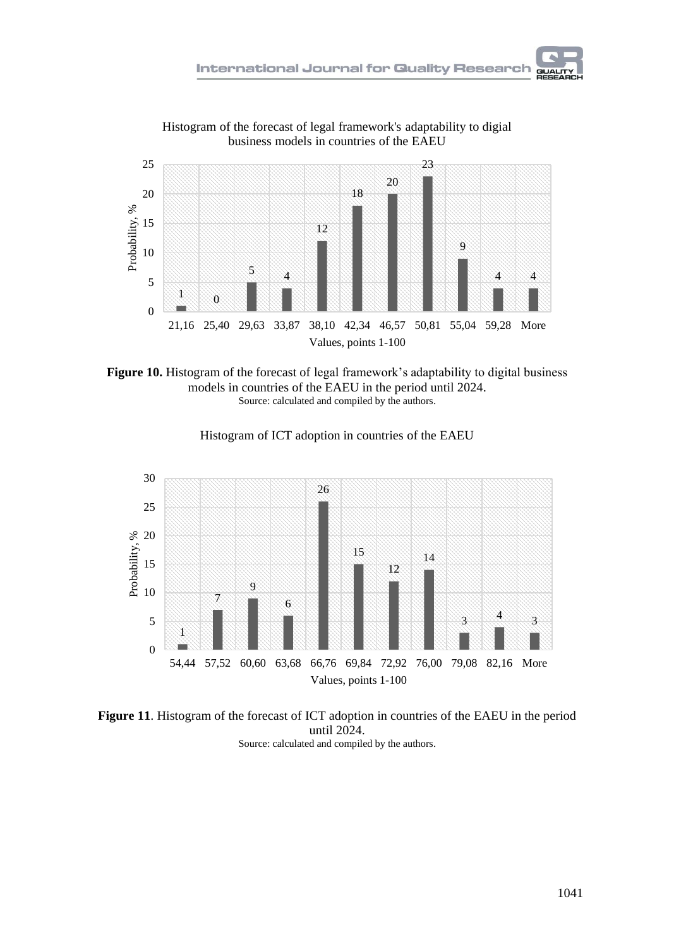

Histogram of the forecast of legal framework's adaptability to digial business models in countries of the EAEU





Histogram of ICT adoption in countries of the EAEU

**Figure 11**. Histogram of the forecast of ICT adoption in countries of the EAEU in the period until 2024. Source: calculated and compiled by the authors.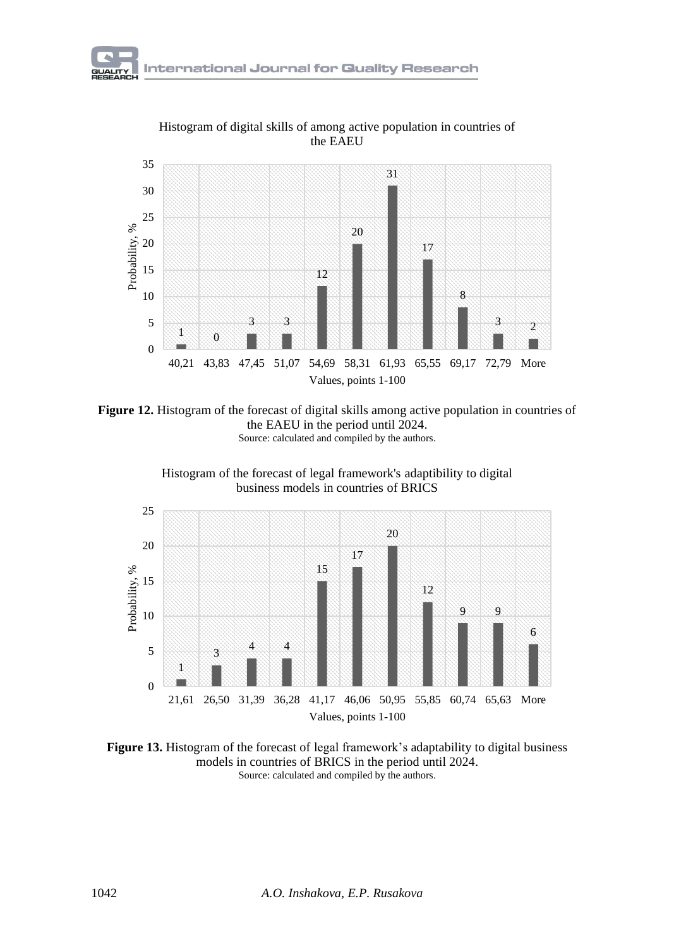

Histogram of digital skills of among active population in countries of

**Figure 12.** Histogram of the forecast of digital skills among active population in countries of the EAEU in the period until 2024. Source: calculated and compiled by the authors.





**Figure 13.** Histogram of the forecast of legal framework's adaptability to digital business models in countries of BRICS in the period until 2024. Source: calculated and compiled by the authors.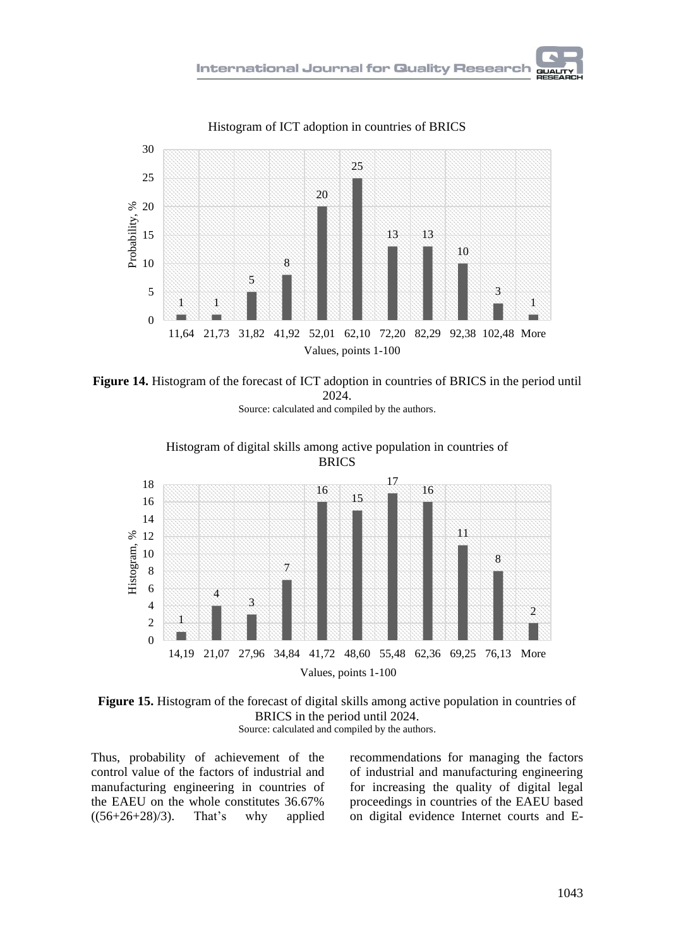

Histogram of ICT adoption in countries of BRICS



**Figure 14.** Histogram of the forecast of ICT adoption in countries of BRICS in the period until 2024.

Source: calculated and compiled by the authors.





Thus, probability of achievement of the control value of the factors of industrial and manufacturing engineering in countries of the EAEU on the whole constitutes 36.67%  $((56+26+28)/3)$ . That's why applied

recommendations for managing the factors of industrial and manufacturing engineering for increasing the quality of digital legal proceedings in countries of the EAEU based on digital evidence Internet courts and E-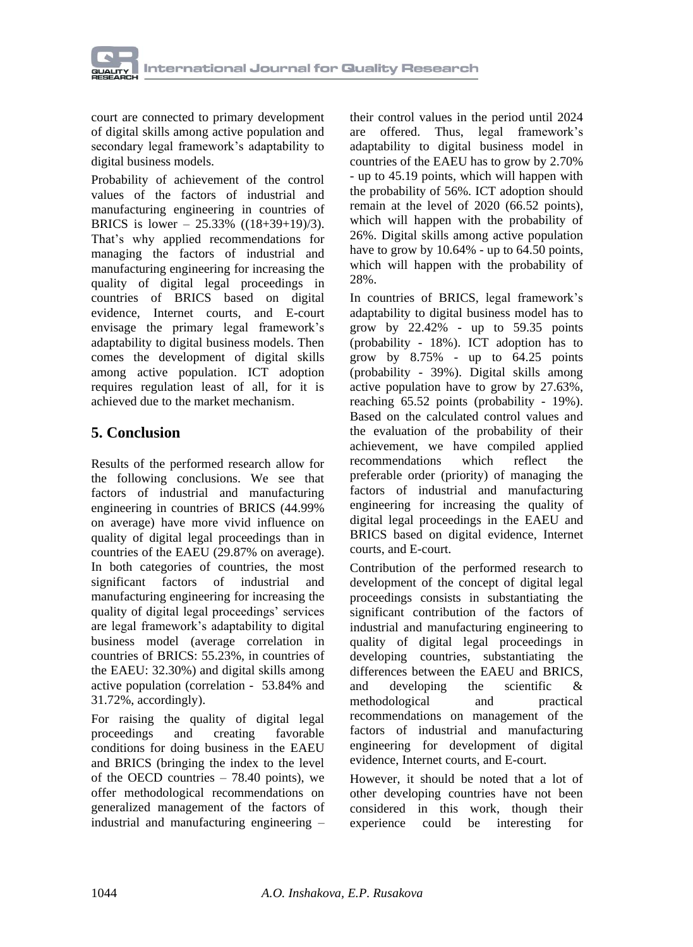

court are connected to primary development of digital skills among active population and secondary legal framework's adaptability to digital business models.

Probability of achievement of the control values of the factors of industrial and manufacturing engineering in countries of BRICS is lower –  $25.33\%$  ((18+39+19)/3). That's why applied recommendations for managing the factors of industrial and manufacturing engineering for increasing the quality of digital legal proceedings in countries of BRICS based on digital evidence, Internet courts, and E-court envisage the primary legal framework's adaptability to digital business models. Then comes the development of digital skills among active population. ICT adoption requires regulation least of all, for it is achieved due to the market mechanism.

## **5. Conclusion**

Results of the performed research allow for the following conclusions. We see that factors of industrial and manufacturing engineering in countries of BRICS (44.99% on average) have more vivid influence on quality of digital legal proceedings than in countries of the EAEU (29.87% on average). In both categories of countries, the most significant factors of industrial and manufacturing engineering for increasing the quality of digital legal proceedings' services are legal framework's adaptability to digital business model (average correlation in countries of BRICS: 55.23%, in countries of the EAEU: 32.30%) and digital skills among active population (correlation - 53.84% and 31.72%, accordingly).

For raising the quality of digital legal proceedings and creating favorable conditions for doing business in the EAEU and BRICS (bringing the index to the level of the OECD countries  $-78.40$  points), we offer methodological recommendations on generalized management of the factors of industrial and manufacturing engineering –

their control values in the period until 2024 are offered. Thus, legal framework's adaptability to digital business model in countries of the EAEU has to grow by 2.70% - up to 45.19 points, which will happen with the probability of 56%. ICT adoption should remain at the level of 2020 (66.52 points), which will happen with the probability of 26%. Digital skills among active population have to grow by 10.64% - up to 64.50 points, which will happen with the probability of 28%.

In countries of BRICS, legal framework's adaptability to digital business model has to grow by 22.42% - up to 59.35 points (probability - 18%). ICT adoption has to grow by 8.75% - up to 64.25 points (probability - 39%). Digital skills among active population have to grow by 27.63%, reaching 65.52 points (probability - 19%). Based on the calculated control values and the evaluation of the probability of their achievement, we have compiled applied recommendations which reflect the preferable order (priority) of managing the factors of industrial and manufacturing engineering for increasing the quality of digital legal proceedings in the EAEU and BRICS based on digital evidence, Internet courts, and E-court.

Contribution of the performed research to development of the concept of digital legal proceedings consists in substantiating the significant contribution of the factors of industrial and manufacturing engineering to quality of digital legal proceedings in developing countries, substantiating the differences between the EAEU and BRICS, and developing the scientific & methodological and practical recommendations on management of the factors of industrial and manufacturing engineering for development of digital evidence, Internet courts, and E-court.

However, it should be noted that a lot of other developing countries have not been considered in this work, though their experience could be interesting for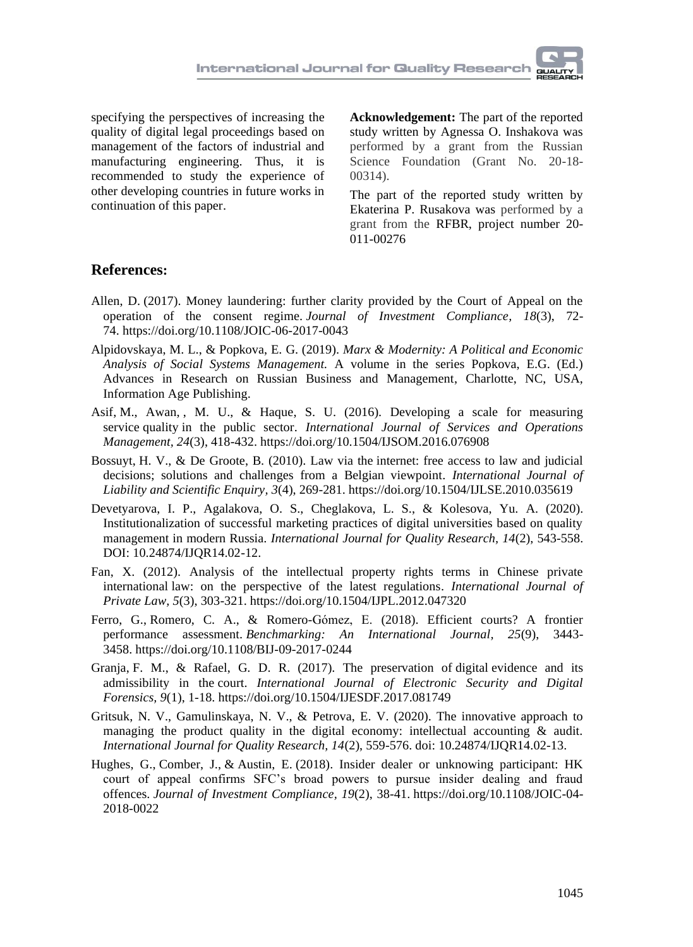specifying the perspectives of increasing the quality of digital legal proceedings based on management of the factors of industrial and manufacturing engineering. Thus, it is recommended to study the experience of other developing countries in future works in continuation of this paper.

**Acknowledgement:** The part of the reported study written by Agnessa O. Inshakova was performed by a grant from the Russian Science Foundation (Grant No. 20-18- 00314).

The part of the reported study written by Ekaterina P. Rusakova was performed by a grant from the RFBR, project number 20- 011-00276

### **References:**

- [Allen, D.](https://www.emerald.com/insight/search?q=Daren%20Allen) (2017). Money laundering: further clarity provided by the Court of Appeal on the operation of the consent regime. *[Journal of Investment Compliance,](https://www.emerald.com/insight/publication/issn/1528-5812) 18*(3), 72- 74. <https://doi.org/10.1108/JOIC-06-2017-0043>
- Alpidovskaya, M. L., & Popkova, E. G. (2019). *Marx & Modernity: A Political and Economic Analysis of Social Systems Management.* A volume in the series Popkova, E.G. (Ed.) [Advances in Research on Russian Business and Management,](https://www.infoagepub.com/series/Advances-in-Research-on-Russian-Business-and-Management) Charlotte, NC, USA, Information Age Publishing.
- [Asif,](https://www.inderscienceonline.com/author/Asif%2C+Muhammad) [M., Awan,](https://www.inderscienceonline.com/author/Awan%2C+Muhammad+Usman) , M. U., & [Haque,](https://www.inderscienceonline.com/author/Haque%2C+Shahbaz+Ul) S. U. (2016). [Developing a scale for measuring](https://www.inderscienceonline.com/doi/abs/10.1504/IJSOM.2016.076908)  service quality [in the public sector.](https://www.inderscienceonline.com/doi/abs/10.1504/IJSOM.2016.076908) *[International Journal of Services and Operations](https://www.inderscienceonline.com/loi/ijsom)  [Management,](https://www.inderscienceonline.com/loi/ijsom) 24*(3), 418-432[. https://doi.org/10.1504/IJSOM.2016.076908](https://doi.org/10.1504/IJSOM.2016.076908)
- Bossuyt, H. V., [& De Groote,](https://www.inderscienceonline.com/author/de+Groote%2C+Bertel) B. (2010). Law via the [internet: free access to law and judicial](https://www.inderscienceonline.com/doi/abs/10.1504/IJLSE.2010.035619)  [decisions; solutions and challenges from a Belgian viewpoint.](https://www.inderscienceonline.com/doi/abs/10.1504/IJLSE.2010.035619) *[International Journal of](https://www.inderscienceonline.com/loi/ijlse)  [Liability and Scientific Enquiry,](https://www.inderscienceonline.com/loi/ijlse) 3*(4), 269-281.<https://doi.org/10.1504/IJLSE.2010.035619>
- Devetyarova, I. P., Agalakova, O. S., Cheglakova, L. S., & Kolesova, Yu. A. (2020). Institutionalization of successful marketing practices of digital universities based on quality management in modern Russia. *International Journal for Quality Research, 14*(2), 543-558. DOI: 10.24874/IJQR14.02-12.
- [Fan,](https://www.inderscienceonline.com/author/Fan%2C+Xiaoliang) X. (2012). [Analysis of the intellectual property rights terms in Chinese private](https://www.inderscienceonline.com/doi/abs/10.1504/IJPL.2012.047320)  international [law: on the perspective of the latest regulations.](https://www.inderscienceonline.com/doi/abs/10.1504/IJPL.2012.047320) *[International Journal of](https://www.inderscienceonline.com/loi/ijpl)  [Private Law,](https://www.inderscienceonline.com/loi/ijpl) 5*(3), 303-321[. https://doi.org/10.1504/IJPL.2012.047320](https://doi.org/10.1504/IJPL.2012.047320)
- [Ferro, G.,](https://www.emerald.com/insight/search?q=Gustavo%20Ferro) [Romero, C.](https://www.emerald.com/insight/search?q=Carlos%20A.%20Romero) A., & [Romero-Gómez, E.](https://www.emerald.com/insight/search?q=Exequiel%20Romero-G%C3%B3mez) (2018). Efficient courts? A frontier performance assessment. *[Benchmarking: An International Journal,](https://www.emerald.com/insight/publication/issn/1463-5771) 25*(9), 3443- 3458. <https://doi.org/10.1108/BIJ-09-2017-0244>
- [Granja,](https://www.inderscienceonline.com/author/Granja%2C+Fernando+Molina) F. M., & [Rafael,](https://www.inderscienceonline.com/author/Rafael%2C+Glen+D+Rodr%C3%ADguez) G. D. R. (2017). [The preservation of](https://www.inderscienceonline.com/doi/abs/10.1504/IJESDF.2017.081749) digital evidence and its [admissibility in the](https://www.inderscienceonline.com/doi/abs/10.1504/IJESDF.2017.081749) court. *[International Journal of Electronic Security and Digital](https://www.inderscienceonline.com/loi/ijesdf)  [Forensics,](https://www.inderscienceonline.com/loi/ijesdf) 9*(1), 1-18[. https://doi.org/10.1504/IJESDF.2017.081749](https://doi.org/10.1504/IJESDF.2017.081749)
- Gritsuk, N. V., Gamulinskaya, N. V., & Petrova, E. V. (2020). The innovative approach to managing the product quality in the digital economy: intellectual accounting  $\&$  audit. *International Journal for Quality Research, 14*(2), 559-576. doi: 10.24874/IJQR14.02-13.
- [Hughes, G.,](https://www.emerald.com/insight/search?q=Gareth%20Hughes) [Comber, J.,](https://www.emerald.com/insight/search?q=James%20Comber) & [Austin, E.](https://www.emerald.com/insight/search?q=Emily%20Austin) (2018). Insider dealer or unknowing participant: HK court of appeal confirms SFC's broad powers to pursue insider dealing and fraud offences. *[Journal of Investment Compliance,](https://www.emerald.com/insight/publication/issn/1528-5812) 19*(2), 38-41. [https://doi.org/10.1108/JOIC-04-](https://doi.org/10.1108/JOIC-04-2018-0022) [2018-0022](https://doi.org/10.1108/JOIC-04-2018-0022)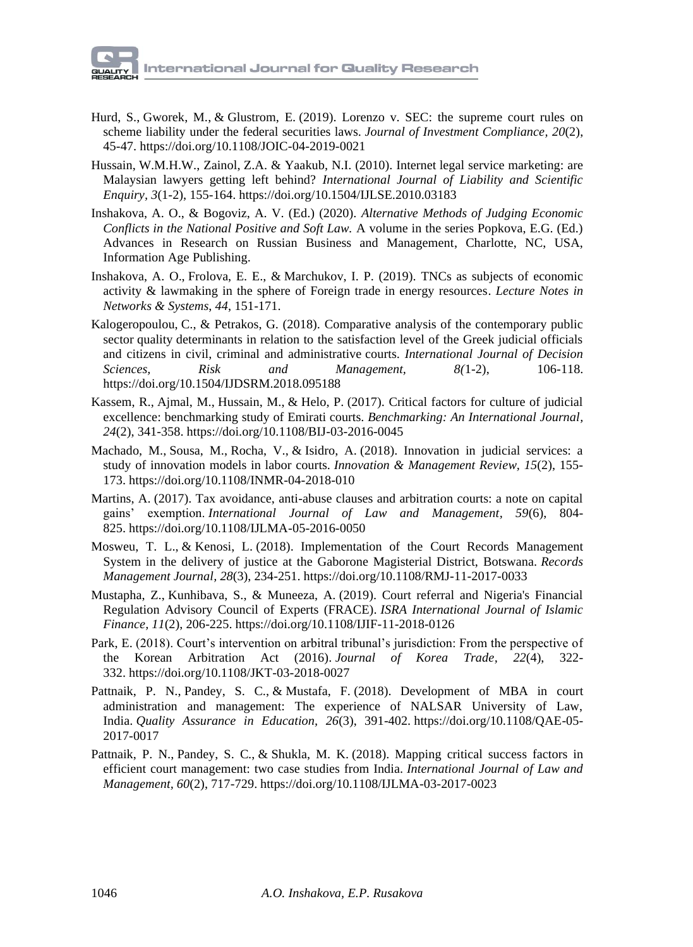- [Hurd, S.,](https://www.emerald.com/insight/search?q=Susan%20Hurd) [Gworek, M.,](https://www.emerald.com/insight/search?q=Mel%20Gworek) & [Glustrom, E.](https://www.emerald.com/insight/search?q=Evan%20Glustrom) (2019). Lorenzo v. SEC: the supreme court rules on scheme liability under the federal securities laws. *[Journal of Investment Compliance,](https://www.emerald.com/insight/publication/issn/1528-5812) 20*(2), 45-47. <https://doi.org/10.1108/JOIC-04-2019-0021>
- [Hussain,](https://www.inderscienceonline.com/author/Hussain%2C+Wan+Mohd+Hirwani+Wan) W.M.H.W., [Zainol,](https://www.inderscienceonline.com/author/Zainol%2C+Zinatul+Ashiqin) Z.A. & [Yaakub,](https://www.inderscienceonline.com/author/Yaakub%2C+Noor+Inayah) N.I. (2010). Internet [legal service marketing: are](https://www.inderscienceonline.com/doi/abs/10.1504/IJLSE.2010.03183)  [Malaysian lawyers getting left behind?](https://www.inderscienceonline.com/doi/abs/10.1504/IJLSE.2010.03183) *[International Journal of Liability and Scientific](https://www.inderscienceonline.com/loi/ijlse)  [Enquiry,](https://www.inderscienceonline.com/loi/ijlse) 3*(1-2), 155-164.<https://doi.org/10.1504/IJLSE.2010.03183>
- Inshakova, A. O., & Bogoviz, A. V. (Ed.) (2020). *Alternative Methods of Judging Economic Conflicts in the National Positive and Soft Law.* A volume in the series Popkova, E.G. (Ed.) [Advances in Research on Russian Business and Management,](https://www.infoagepub.com/series/Advances-in-Research-on-Russian-Business-and-Management) Charlotte, NC, USA, Information Age Publishing.
- [Inshakova, A.](https://proxylibrary.hse.ru:2073/authid/detail.uri?origin=AuthorProfile&authorId=56185976100&zone=) O., [Frolova, E.](https://proxylibrary.hse.ru:2073/authid/detail.uri?origin=AuthorProfile&authorId=56439998700&zone=) E., & [Marchukov, I.](https://proxylibrary.hse.ru:2073/authid/detail.uri?origin=AuthorProfile&authorId=57202323564&zone=) P. (2019). [TNCs as subjects of economic](https://proxylibrary.hse.ru:2073/record/display.uri?eid=2-s2.0-85063228168&origin=resultslist&sort=plf-f&src=s&sid=e877677f385365090ae3cedd2b61b8af&sot=autdocs&sdt=autdocs&sl=18&s=AU-ID%2856185976100%29&relpos=17&citeCnt=0&searchTerm=)  [activity & lawmaking in the sphere of Foreign trade in energy resources.](https://proxylibrary.hse.ru:2073/record/display.uri?eid=2-s2.0-85063228168&origin=resultslist&sort=plf-f&src=s&sid=e877677f385365090ae3cedd2b61b8af&sot=autdocs&sdt=autdocs&sl=18&s=AU-ID%2856185976100%29&relpos=17&citeCnt=0&searchTerm=) *[Lecture Notes in](https://proxylibrary.hse.ru:2073/sourceid/21100901469?origin=resultslist)  [Networks & Systems](https://proxylibrary.hse.ru:2073/sourceid/21100901469?origin=resultslist)*, *44*, 151-171.
- [Kalogeropoulou,](https://www.inderscienceonline.com/author/Kalogeropoulou%2C+Charitomeni) C., [& Petrakos,](https://www.inderscienceonline.com/author/Petrakos%2C+George) G. (2018). [Comparative analysis of the contemporary public](https://www.inderscienceonline.com/doi/abs/10.1504/IJDSRM.2018.095188)  sector quality [determinants in relation to the satisfaction level of the Greek judicial officials](https://www.inderscienceonline.com/doi/abs/10.1504/IJDSRM.2018.095188)  [and citizens in civil, criminal and administrative](https://www.inderscienceonline.com/doi/abs/10.1504/IJDSRM.2018.095188) courts. *[International Journal of Decision](https://www.inderscienceonline.com/loi/ijdsrm)  [Sciences, Risk and Management,](https://www.inderscienceonline.com/loi/ijdsrm) 8(*1-2), 106-118. <https://doi.org/10.1504/IJDSRM.2018.095188>
- [Kassem, R.,](https://www.emerald.com/insight/search?q=Rassel%20Kassem) [Ajmal, M.,](https://www.emerald.com/insight/search?q=Mian%20Ajmal) [Hussain, M.,](https://www.emerald.com/insight/search?q=Matloub%20Hussain) & [Helo, P.](https://www.emerald.com/insight/search?q=Petri%20Helo) (2017). Critical factors for culture of judicial excellence: benchmarking study of Emirati courts. *[Benchmarking: An International Journal,](https://www.emerald.com/insight/publication/issn/1463-5771) 24*(2), 341-358. <https://doi.org/10.1108/BIJ-03-2016-0045>
- [Machado, M.,](https://www.emerald.com/insight/search?q=Michele%20Machado) [Sousa, M.,](https://www.emerald.com/insight/search?q=Marcos%20Sousa) [Rocha, V.,](https://www.emerald.com/insight/search?q=Vicente%20Rocha) & [Isidro, A.](https://www.emerald.com/insight/search?q=Antonio%20Isidro) (2018). Innovation in judicial services: a study of innovation models in labor courts. *[Innovation & Management Review,](https://www.emerald.com/insight/publication/issn/2515-8961) 15*(2), 155- 173. <https://doi.org/10.1108/INMR-04-2018-010>
- [Martins, A.](https://www.emerald.com/insight/search?q=Ant%C3%B3nio%20Martins) (2017). Tax avoidance, anti-abuse clauses and arbitration courts: a note on capital gains' exemption. *[International Journal of Law and Management,](https://www.emerald.com/insight/publication/issn/1754-243X) 59*(6), 804- 825. <https://doi.org/10.1108/IJLMA-05-2016-0050>
- [Mosweu, T.](https://www.emerald.com/insight/search?q=Tshepho%20Lydia%20Mosweu) L., & [Kenosi, L.](https://www.emerald.com/insight/search?q=Lekoko%20Kenosi) (2018). Implementation of the Court Records Management System in the delivery of justice at the Gaborone Magisterial District, Botswana. *[Records](https://www.emerald.com/insight/publication/issn/0956-5698)  [Management Journal,](https://www.emerald.com/insight/publication/issn/0956-5698) 28*(3), 234-251. <https://doi.org/10.1108/RMJ-11-2017-0033>
- [Mustapha, Z.,](https://www.emerald.com/insight/search?q=Zakariya%20Mustapha) [Kunhibava, S.,](https://www.emerald.com/insight/search?q=Sherin%20Kunhibava) & [Muneeza, A.](https://www.emerald.com/insight/search?q=Aishath%20Muneeza) (2019). Court referral and Nigeria's Financial Regulation Advisory Council of Experts (FRACE). *[ISRA International Journal of Islamic](https://www.emerald.com/insight/publication/issn/2289-4365)  [Finance,](https://www.emerald.com/insight/publication/issn/2289-4365) 11*(2), 206-225. <https://doi.org/10.1108/IJIF-11-2018-0126>
- [Park, E.](https://www.emerald.com/insight/search?q=Eunok%20Park) (2018). Court's intervention on arbitral tribunal's jurisdiction: From the perspective of the Korean Arbitration Act (2016). *[Journal of Korea Trade,](https://www.emerald.com/insight/publication/issn/1229-828X) 22*(4), 322- 332. <https://doi.org/10.1108/JKT-03-2018-0027>
- [Pattnaik, P.](https://www.emerald.com/insight/search?q=Pinaki%20Nandan%20Pattnaik) N., [Pandey, S.](https://www.emerald.com/insight/search?q=Satyendra%20C.%20Pandey) C., & [Mustafa, F.](https://www.emerald.com/insight/search?q=Faizan%20Mustafa) (2018). Development of MBA in court administration and management: The experience of NALSAR University of Law, India. *[Quality Assurance in Education,](https://www.emerald.com/insight/publication/issn/0968-4883) 26*(3), 391-402. [https://doi.org/10.1108/QAE-05-](https://doi.org/10.1108/QAE-05-2017-0017) [2017-0017](https://doi.org/10.1108/QAE-05-2017-0017)
- [Pattnaik, P.](https://www.emerald.com/insight/search?q=Pinaki%20Nandan%20Pattnaik) N., [Pandey, S.](https://www.emerald.com/insight/search?q=Satyendra%20C.%20Pandey) C., & [Shukla, M.](https://www.emerald.com/insight/search?q=Mahendra%20Kumar%20Shukla) K. (2018). Mapping critical success factors in efficient court management: two case studies from India. *[International Journal of Law and](https://www.emerald.com/insight/publication/issn/1754-243X)  [Management,](https://www.emerald.com/insight/publication/issn/1754-243X) 60*(2), 717-729. <https://doi.org/10.1108/IJLMA-03-2017-0023>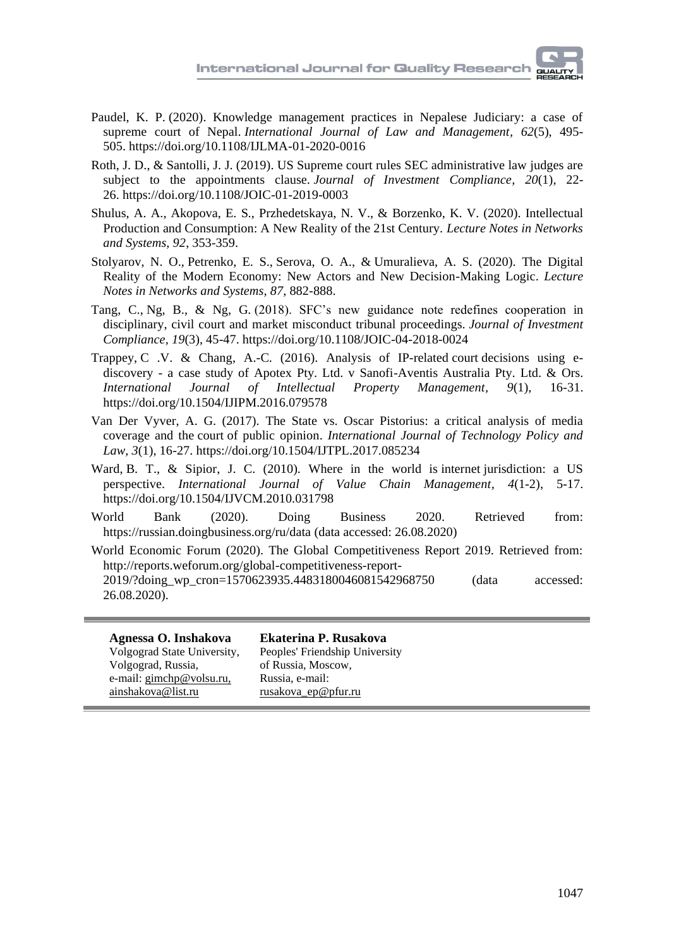- [Paudel, K.](https://www.emerald.com/insight/search?q=Krishna%20Prasad%20Paudel) P. (2020). Knowledge management practices in Nepalese Judiciary: a case of supreme court of Nepal. *[International Journal of Law and Management,](https://www.emerald.com/insight/publication/issn/1754-243X) 62*(5), 495- 505. <https://doi.org/10.1108/IJLMA-01-2020-0016>
- [Roth, J.](https://www.emerald.com/insight/search?q=Joshua%20D.%20Roth) D., & [Santolli, J.](https://www.emerald.com/insight/search?q=Justin%20J.%20Santolli) J. (2019). US Supreme court rules SEC administrative law judges are subject to the appointments clause. *[Journal of Investment Compliance,](https://www.emerald.com/insight/publication/issn/1528-5812) 20*(1), 22- 26. <https://doi.org/10.1108/JOIC-01-2019-0003>
- Shulus, A. A., Akopova, E. S., Przhedetskaya, N. V., & Borzenko, K. V. (2020). Intellectual Production and Consumption: A New Reality of the 21st Century. *Lecture Notes in Networks and Systems, 92*, 353-359.
- [Stolyarov, N.](https://proxylibrary.hse.ru:2073/authid/detail.uri?origin=AuthorProfile&authorId=57210110510&zone=) O., [Petrenko, E.](https://proxylibrary.hse.ru:2073/authid/detail.uri?origin=AuthorProfile&authorId=57192267828&zone=) S., [Serova, O.](https://proxylibrary.hse.ru:2073/authid/detail.uri?origin=AuthorProfile&authorId=57205322234&zone=) A., & [Umuralieva, A.](https://proxylibrary.hse.ru:2073/authid/detail.uri?origin=AuthorProfile&authorId=57211182188&zone=) S. (2020). [The Digital](https://proxylibrary.hse.ru:2073/record/display.uri?eid=2-s2.0-85072878366&origin=resultslist&sort=plf-f&src=s&sid=dbcd353715845cf560b6678e8bccfb41&sot=autdocs&sdt=autdocs&sl=18&s=AU-ID%2857192267828%29&relpos=2&citeCnt=0&searchTerm=)  [Reality of the Modern Economy: New Actors and New Decision-Making Logic.](https://proxylibrary.hse.ru:2073/record/display.uri?eid=2-s2.0-85072878366&origin=resultslist&sort=plf-f&src=s&sid=dbcd353715845cf560b6678e8bccfb41&sot=autdocs&sdt=autdocs&sl=18&s=AU-ID%2857192267828%29&relpos=2&citeCnt=0&searchTerm=) *[Lecture](https://proxylibrary.hse.ru:2073/sourceid/21100901469?origin=resultslist)  [Notes in Networks and Systems,](https://proxylibrary.hse.ru:2073/sourceid/21100901469?origin=resultslist) 87*, 882-888.
- [Tang, C.,](https://www.emerald.com/insight/search?q=Cynthia%20Tang) [Ng, B.,](https://www.emerald.com/insight/search?q=Bryan%20Ng) & [Ng, G.](https://www.emerald.com/insight/search?q=Gloria%20Ng) (2018). SFC's new guidance note redefines cooperation in disciplinary, civil court and market misconduct tribunal proceedings. *[Journal of Investment](https://www.emerald.com/insight/publication/issn/1528-5812)  [Compliance,](https://www.emerald.com/insight/publication/issn/1528-5812) 19*(3), 45-47. <https://doi.org/10.1108/JOIC-04-2018-0024>
- [Trappey,](https://www.inderscienceonline.com/author/Trappey%2C+Charles+V) C [.V. & Chang,](https://www.inderscienceonline.com/author/Chang%2C+Ai-Che) A.-C. (2016). [Analysis of IP-related](https://www.inderscienceonline.com/doi/abs/10.1504/IJIPM.2016.079578) court decisions using ediscovery - [a case study of Apotex Pty. Ltd. v Sanofi-Aventis Australia Pty. Ltd. & Ors.](https://www.inderscienceonline.com/doi/abs/10.1504/IJIPM.2016.079578) *[International Journal of Intellectual Property Management,](https://www.inderscienceonline.com/loi/ijipm) 9*(1), 16-31. <https://doi.org/10.1504/IJIPM.2016.079578>
- Van Der Vyver, A. G. (2017). [The State vs. Oscar Pistorius: a critical analysis of media](https://www.inderscienceonline.com/doi/abs/10.1504/IJTPL.2017.085234)  coverage and the court [of public opinion.](https://www.inderscienceonline.com/doi/abs/10.1504/IJTPL.2017.085234) *[International Journal of Technology Policy and](https://www.inderscienceonline.com/loi/ijtpl)  [Law,](https://www.inderscienceonline.com/loi/ijtpl) 3*(1), 16-27[. https://doi.org/10.1504/IJTPL.2017.085234](https://doi.org/10.1504/IJTPL.2017.085234)
- [Ward,](https://www.inderscienceonline.com/author/Ward%2C+Burke+T) B. T., [& Sipior,](https://www.inderscienceonline.com/author/Sipior%2C+Janice+C) J. C. (2010). [Where in the world is](https://www.inderscienceonline.com/doi/abs/10.1504/IJVCM.2010.031798) internet jurisdiction: a US [perspective.](https://www.inderscienceonline.com/doi/abs/10.1504/IJVCM.2010.031798) *[International Journal of Value Chain Management,](https://www.inderscienceonline.com/loi/ijvcm) 4*(1-2), 5-17. <https://doi.org/10.1504/IJVCM.2010.031798>
- World Bank (2020). Doing Business 2020. Retrieved from: <https://russian.doingbusiness.org/ru/data> (data accessed: 26.08.2020)
- World Economic Forum (2020). The Global Competitiveness Report 2019. Retrieved from: [http://reports.weforum.org/global-competitiveness-report-](http://reports.weforum.org/global-competitiveness-report-2019/?doing_wp_cron=1570623935.4483180046081542968750)[2019/?doing\\_wp\\_cron=1570623935.4483180046081542968750](http://reports.weforum.org/global-competitiveness-report-2019/?doing_wp_cron=1570623935.4483180046081542968750) (data accessed: 26.08.2020).

**Agnessa O. Inshakova** Volgograd State University, Volgograd, Russia, e-mail: gimchp@volsu.ru, ainshakova@list.ru

**Ekaterina P. Rusakova** Peoples' Friendship University of Russia, Moscow, Russia, e-mail: [rusakova\\_ep@pfur.ru](mailto:rusakova_ep@pfur.ru)